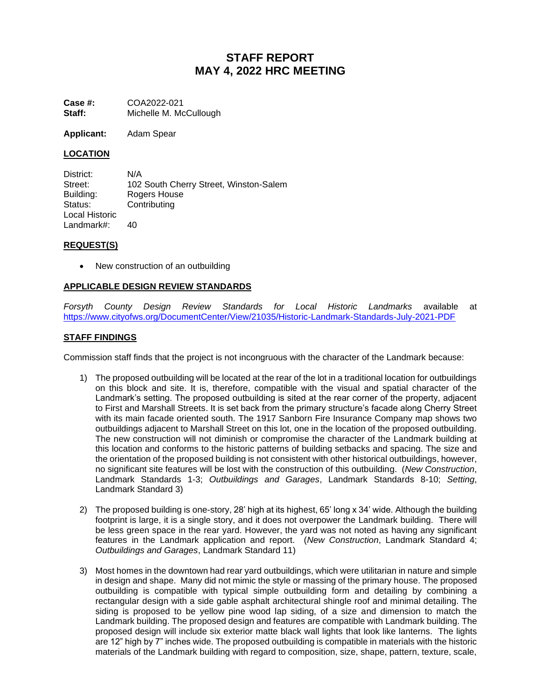# **STAFF REPORT MAY 4, 2022 HRC MEETING**

**Case #:** COA2022-021 **Staff:** Michelle M. McCullough

**Applicant:** Adam Spear

## **LOCATION**

District: N/A Street: 102 South Cherry Street, Winston-Salem Building: Rogers House Status: Contributing Local Historic Landmark#: 40

### **REQUEST(S)**

New construction of an outbuilding

# **APPLICABLE DESIGN REVIEW STANDARDS**

*Forsyth County Design Review Standards for Local Historic Landmarks* available at <https://www.cityofws.org/DocumentCenter/View/21035/Historic-Landmark-Standards-July-2021-PDF>

## **STAFF FINDINGS**

Commission staff finds that the project is not incongruous with the character of the Landmark because:

- 1) The proposed outbuilding will be located at the rear of the lot in a traditional location for outbuildings on this block and site. It is, therefore, compatible with the visual and spatial character of the Landmark's setting. The proposed outbuilding is sited at the rear corner of the property, adjacent to First and Marshall Streets. It is set back from the primary structure's facade along Cherry Street with its main facade oriented south. The 1917 Sanborn Fire Insurance Company map shows two outbuildings adjacent to Marshall Street on this lot, one in the location of the proposed outbuilding. The new construction will not diminish or compromise the character of the Landmark building at this location and conforms to the historic patterns of building setbacks and spacing. The size and the orientation of the proposed building is not consistent with other historical outbuildings, however, no significant site features will be lost with the construction of this outbuilding. (*New Construction*, Landmark Standards 1-3; *Outbuildings and Garages*, Landmark Standards 8-10; *Setting*, Landmark Standard 3)
- 2) The proposed building is one-story, 28' high at its highest, 65' long x 34' wide. Although the building footprint is large, it is a single story, and it does not overpower the Landmark building. There will be less green space in the rear yard. However, the yard was not noted as having any significant features in the Landmark application and report. (*New Construction*, Landmark Standard 4; *Outbuildings and Garages*, Landmark Standard 11)
- 3) Most homes in the downtown had rear yard outbuildings, which were utilitarian in nature and simple in design and shape. Many did not mimic the style or massing of the primary house. The proposed outbuilding is compatible with typical simple outbuilding form and detailing by combining a rectangular design with a side gable asphalt architectural shingle roof and minimal detailing. The siding is proposed to be yellow pine wood lap siding, of a size and dimension to match the Landmark building. The proposed design and features are compatible with Landmark building. The proposed design will include six exterior matte black wall lights that look like lanterns. The lights are 12" high by 7" inches wide. The proposed outbuilding is compatible in materials with the historic materials of the Landmark building with regard to composition, size, shape, pattern, texture, scale,